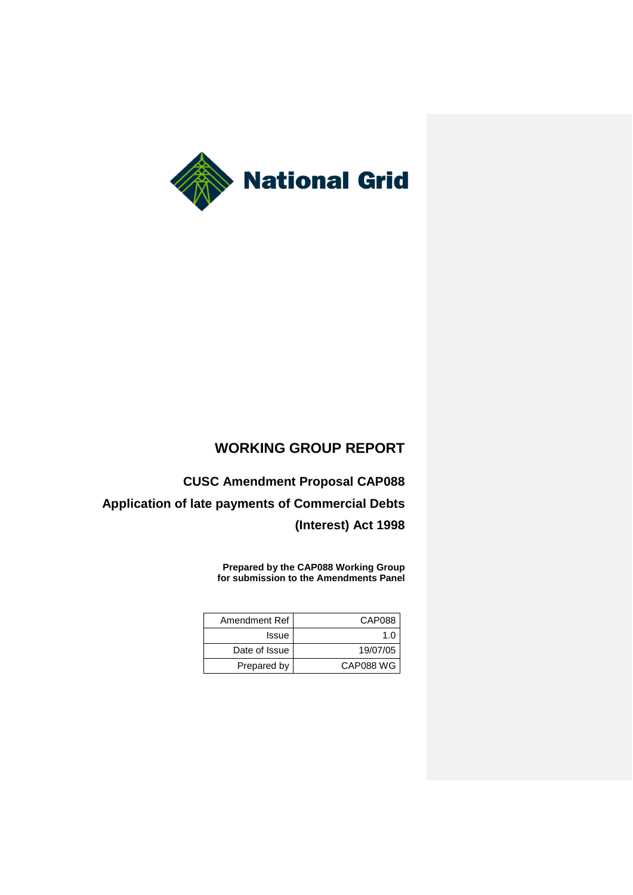

# **WORKING GROUP REPORT**

**CUSC Amendment Proposal CAP088 Application of late payments of Commercial Debts (Interest) Act 1998**

> **Prepared by the CAP088 Working Group for submission to the Amendments Panel**

| Amendment Ref | CAP088    |
|---------------|-----------|
| Issue         | 1 በ       |
| Date of Issue | 19/07/05  |
| Prepared by   | CAP088 WG |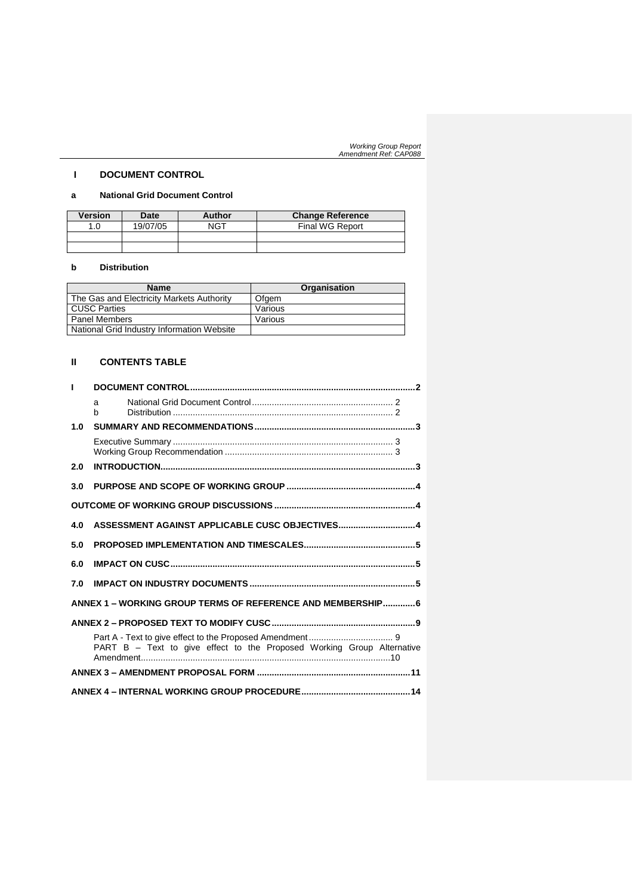# **I DOCUMENT CONTROL**

# **a National Grid Document Control**

| <b>Version</b> | Date     | Author | <b>Change Reference</b> |
|----------------|----------|--------|-------------------------|
| 1.0            | 19/07/05 | NGT    | Final WG Report         |
|                |          |        |                         |
|                |          |        |                         |

# **b Distribution**

| <b>Name</b>                                | Organisation |
|--------------------------------------------|--------------|
| The Gas and Electricity Markets Authority  | Ofgem        |
| <b>CUSC Parties</b>                        | Various      |
| <b>Panel Members</b>                       | Various      |
| National Grid Industry Information Website |              |

# **II CONTENTS TABLE**

|     | a<br>h                                                                 |  |
|-----|------------------------------------------------------------------------|--|
| 1.0 |                                                                        |  |
|     |                                                                        |  |
| 2.0 |                                                                        |  |
| 3.0 |                                                                        |  |
|     |                                                                        |  |
| 4.0 | ASSESSMENT AGAINST APPLICABLE CUSC OBJECTIVES4                         |  |
| 5.0 |                                                                        |  |
| 6.0 |                                                                        |  |
| 7.0 |                                                                        |  |
|     | ANNEX 1 – WORKING GROUP TERMS OF REFERENCE AND MEMBERSHIP 6            |  |
|     |                                                                        |  |
|     | PART B - Text to give effect to the Proposed Working Group Alternative |  |
|     |                                                                        |  |
|     |                                                                        |  |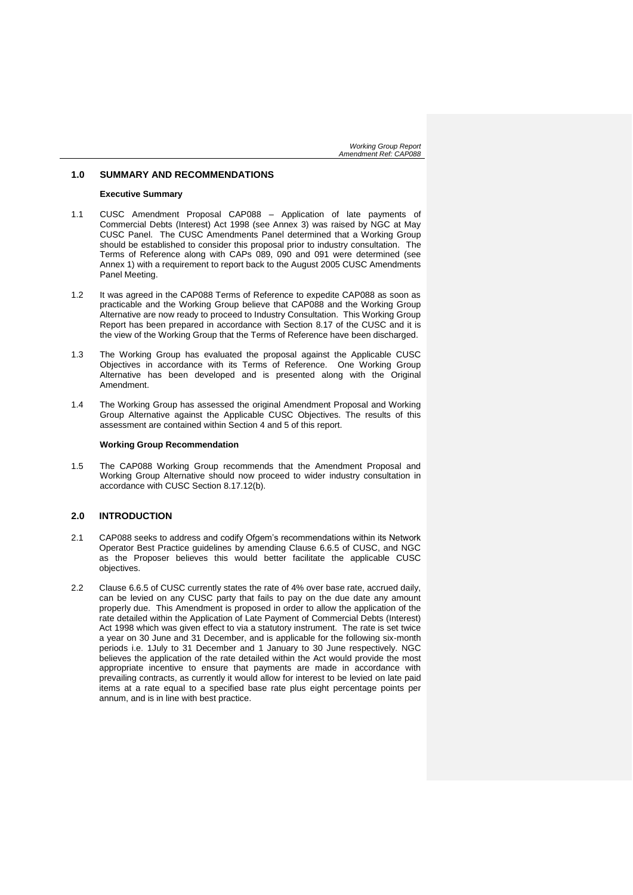# **1.0 SUMMARY AND RECOMMENDATIONS**

#### **Executive Summary**

- 1.1 CUSC Amendment Proposal CAP088 Application of late payments of Commercial Debts (Interest) Act 1998 (see Annex 3) was raised by NGC at May CUSC Panel. The CUSC Amendments Panel determined that a Working Group should be established to consider this proposal prior to industry consultation. The Terms of Reference along with CAPs 089, 090 and 091 were determined (see Annex 1) with a requirement to report back to the August 2005 CUSC Amendments Panel Meeting.
- 1.2 It was agreed in the CAP088 Terms of Reference to expedite CAP088 as soon as practicable and the Working Group believe that CAP088 and the Working Group Alternative are now ready to proceed to Industry Consultation. This Working Group Report has been prepared in accordance with Section 8.17 of the CUSC and it is the view of the Working Group that the Terms of Reference have been discharged.
- 1.3 The Working Group has evaluated the proposal against the Applicable CUSC Objectives in accordance with its Terms of Reference. One Working Group Alternative has been developed and is presented along with the Original Amendment.
- 1.4 The Working Group has assessed the original Amendment Proposal and Working Group Alternative against the Applicable CUSC Objectives. The results of this assessment are contained within Section 4 and 5 of this report.

#### **Working Group Recommendation**

1.5 The CAP088 Working Group recommends that the Amendment Proposal and Working Group Alternative should now proceed to wider industry consultation in accordance with CUSC Section 8.17.12(b).

# **2.0 INTRODUCTION**

- 2.1 CAP088 seeks to address and codify Ofgem's recommendations within its Network Operator Best Practice guidelines by amending Clause 6.6.5 of CUSC, and NGC as the Proposer believes this would better facilitate the applicable CUSC objectives.
- 2.2 Clause 6.6.5 of CUSC currently states the rate of 4% over base rate, accrued daily, can be levied on any CUSC party that fails to pay on the due date any amount properly due. This Amendment is proposed in order to allow the application of the rate detailed within the Application of Late Payment of Commercial Debts (Interest) Act 1998 which was given effect to via a statutory instrument. The rate is set twice a year on 30 June and 31 December, and is applicable for the following six-month periods i.e. 1July to 31 December and 1 January to 30 June respectively. NGC believes the application of the rate detailed within the Act would provide the most appropriate incentive to ensure that payments are made in accordance with prevailing contracts, as currently it would allow for interest to be levied on late paid items at a rate equal to a specified base rate plus eight percentage points per annum, and is in line with best practice.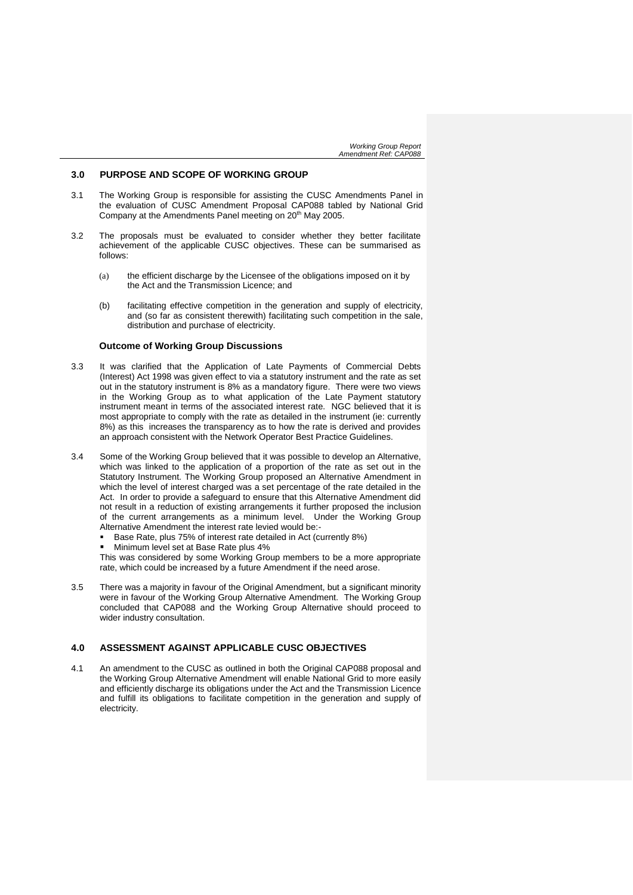# **3.0 PURPOSE AND SCOPE OF WORKING GROUP**

- 3.1 The Working Group is responsible for assisting the CUSC Amendments Panel in the evaluation of CUSC Amendment Proposal CAP088 tabled by National Grid Company at the Amendments Panel meeting on 20<sup>th</sup> May 2005.
- 3.2 The proposals must be evaluated to consider whether they better facilitate achievement of the applicable CUSC objectives. These can be summarised as follows:
	- (a) the efficient discharge by the Licensee of the obligations imposed on it by the Act and the Transmission Licence; and
	- (b) facilitating effective competition in the generation and supply of electricity, and (so far as consistent therewith) facilitating such competition in the sale, distribution and purchase of electricity.

#### **Outcome of Working Group Discussions**

- 3.3 It was clarified that the Application of Late Payments of Commercial Debts (Interest) Act 1998 was given effect to via a statutory instrument and the rate as set out in the statutory instrument is 8% as a mandatory figure. There were two views in the Working Group as to what application of the Late Payment statutory instrument meant in terms of the associated interest rate. NGC believed that it is most appropriate to comply with the rate as detailed in the instrument (ie: currently 8%) as this increases the transparency as to how the rate is derived and provides an approach consistent with the Network Operator Best Practice Guidelines.
- 3.4 Some of the Working Group believed that it was possible to develop an Alternative, which was linked to the application of a proportion of the rate as set out in the Statutory Instrument. The Working Group proposed an Alternative Amendment in which the level of interest charged was a set percentage of the rate detailed in the Act. In order to provide a safeguard to ensure that this Alternative Amendment did not result in a reduction of existing arrangements it further proposed the inclusion of the current arrangements as a minimum level. Under the Working Group Alternative Amendment the interest rate levied would be:-
	- Base Rate, plus 75% of interest rate detailed in Act (currently 8%)
	- Minimum level set at Base Rate plus 4%

This was considered by some Working Group members to be a more appropriate rate, which could be increased by a future Amendment if the need arose.

3.5 There was a majority in favour of the Original Amendment, but a significant minority were in favour of the Working Group Alternative Amendment. The Working Group concluded that CAP088 and the Working Group Alternative should proceed to wider industry consultation.

# **4.0 ASSESSMENT AGAINST APPLICABLE CUSC OBJECTIVES**

4.1 An amendment to the CUSC as outlined in both the Original CAP088 proposal and the Working Group Alternative Amendment will enable National Grid to more easily and efficiently discharge its obligations under the Act and the Transmission Licence and fulfill its obligations to facilitate competition in the generation and supply of electricity.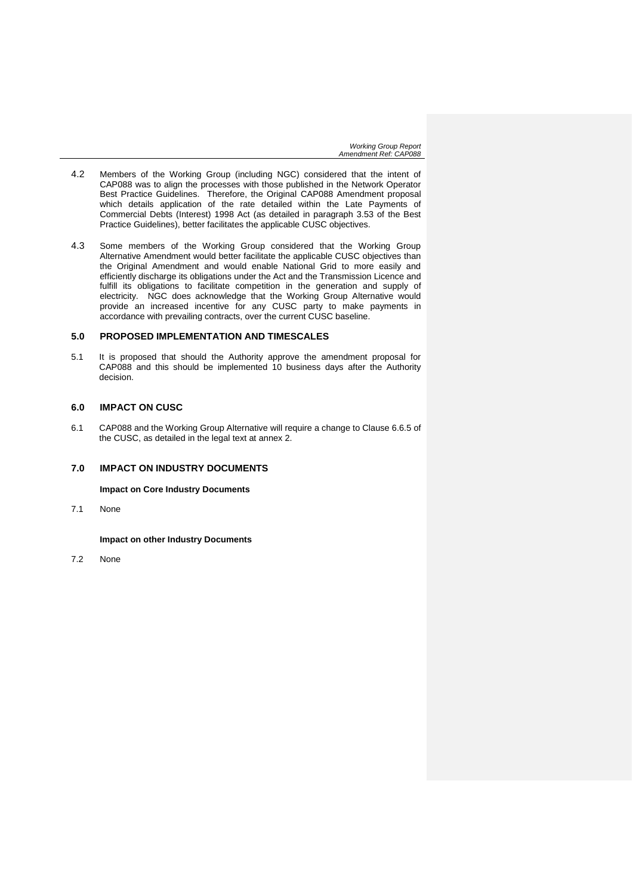- 4.2 Members of the Working Group (including NGC) considered that the intent of CAP088 was to align the processes with those published in the Network Operator Best Practice Guidelines. Therefore, the Original CAP088 Amendment proposal which details application of the rate detailed within the Late Payments of Commercial Debts (Interest) 1998 Act (as detailed in paragraph 3.53 of the Best Practice Guidelines), better facilitates the applicable CUSC objectives.
- 4.3 Some members of the Working Group considered that the Working Group Alternative Amendment would better facilitate the applicable CUSC objectives than the Original Amendment and would enable National Grid to more easily and efficiently discharge its obligations under the Act and the Transmission Licence and fulfill its obligations to facilitate competition in the generation and supply of electricity. NGC does acknowledge that the Working Group Alternative would provide an increased incentive for any CUSC party to make payments in accordance with prevailing contracts, over the current CUSC baseline.

# **5.0 PROPOSED IMPLEMENTATION AND TIMESCALES**

5.1 It is proposed that should the Authority approve the amendment proposal for CAP088 and this should be implemented 10 business days after the Authority decision.

# **6.0 IMPACT ON CUSC**

6.1 CAP088 and the Working Group Alternative will require a change to Clause 6.6.5 of the CUSC, as detailed in the legal text at annex 2.

# **7.0 IMPACT ON INDUSTRY DOCUMENTS**

**Impact on Core Industry Documents**

7.1 None

**Impact on other Industry Documents**

7.2 None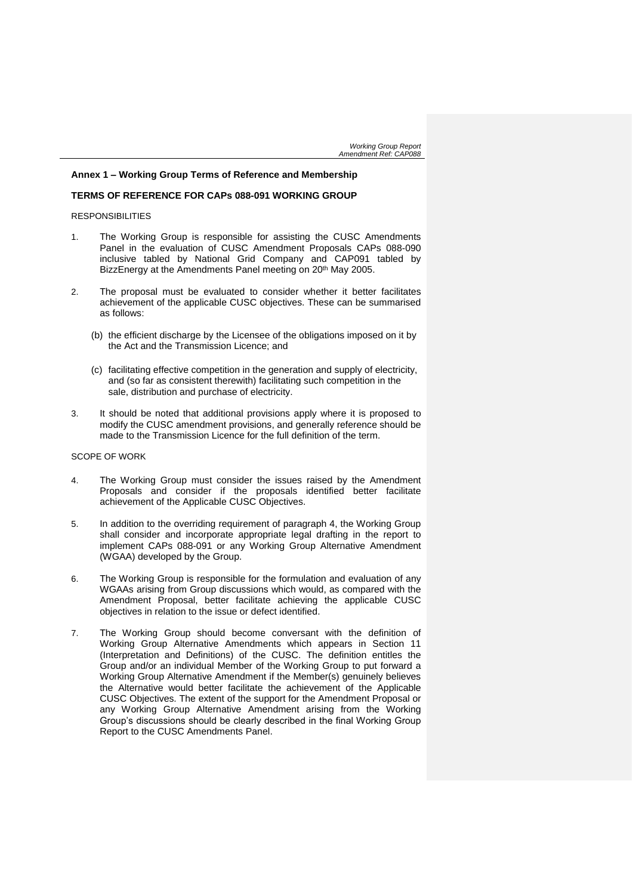# **Annex 1 – Working Group Terms of Reference and Membership**

# **TERMS OF REFERENCE FOR CAPs 088-091 WORKING GROUP**

# RESPONSIBILITIES

- 1. The Working Group is responsible for assisting the CUSC Amendments Panel in the evaluation of CUSC Amendment Proposals CAPs 088-090 inclusive tabled by National Grid Company and CAP091 tabled by BizzEnergy at the Amendments Panel meeting on 20<sup>th</sup> May 2005.
- 2. The proposal must be evaluated to consider whether it better facilitates achievement of the applicable CUSC objectives. These can be summarised as follows:
	- (b) the efficient discharge by the Licensee of the obligations imposed on it by the Act and the Transmission Licence; and
	- (c) facilitating effective competition in the generation and supply of electricity, and (so far as consistent therewith) facilitating such competition in the sale, distribution and purchase of electricity.
- 3. It should be noted that additional provisions apply where it is proposed to modify the CUSC amendment provisions, and generally reference should be made to the Transmission Licence for the full definition of the term.

#### SCOPE OF WORK

- 4. The Working Group must consider the issues raised by the Amendment Proposals and consider if the proposals identified better facilitate achievement of the Applicable CUSC Objectives.
- 5. In addition to the overriding requirement of paragraph 4, the Working Group shall consider and incorporate appropriate legal drafting in the report to implement CAPs 088-091 or any Working Group Alternative Amendment (WGAA) developed by the Group.
- 6. The Working Group is responsible for the formulation and evaluation of any WGAAs arising from Group discussions which would, as compared with the Amendment Proposal, better facilitate achieving the applicable CUSC objectives in relation to the issue or defect identified.
- 7. The Working Group should become conversant with the definition of Working Group Alternative Amendments which appears in Section 11 (Interpretation and Definitions) of the CUSC. The definition entitles the Group and/or an individual Member of the Working Group to put forward a Working Group Alternative Amendment if the Member(s) genuinely believes the Alternative would better facilitate the achievement of the Applicable CUSC Objectives. The extent of the support for the Amendment Proposal or any Working Group Alternative Amendment arising from the Working Group's discussions should be clearly described in the final Working Group Report to the CUSC Amendments Panel.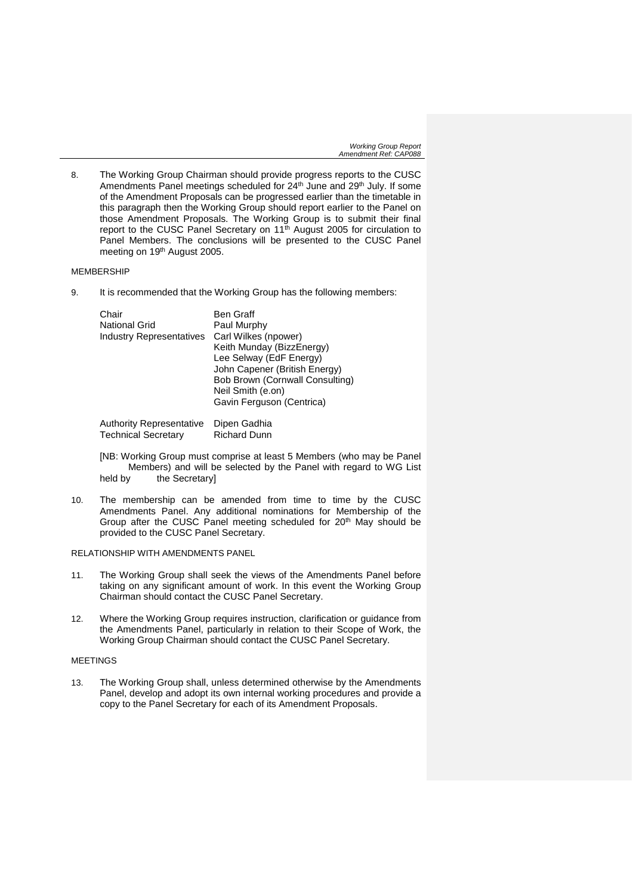8. The Working Group Chairman should provide progress reports to the CUSC Amendments Panel meetings scheduled for 24<sup>th</sup> June and 29<sup>th</sup> July. If some of the Amendment Proposals can be progressed earlier than the timetable in this paragraph then the Working Group should report earlier to the Panel on those Amendment Proposals. The Working Group is to submit their final report to the CUSC Panel Secretary on 11<sup>th</sup> August 2005 for circulation to Panel Members. The conclusions will be presented to the CUSC Panel meeting on 19th August 2005.

# MEMBERSHIP

9. It is recommended that the Working Group has the following members:

Authority Representative Dipen Gadhia<br>Technical Secretary Richard Dunn **Technical Secretary** 

[NB: Working Group must comprise at least 5 Members (who may be Panel Members) and will be selected by the Panel with regard to WG List<br>held by the Secretaryl the Secretary]

10. The membership can be amended from time to time by the CUSC Amendments Panel. Any additional nominations for Membership of the Group after the CUSC Panel meeting scheduled for  $20<sup>th</sup>$  May should be provided to the CUSC Panel Secretary.

RELATIONSHIP WITH AMENDMENTS PANEL

- 11. The Working Group shall seek the views of the Amendments Panel before taking on any significant amount of work. In this event the Working Group Chairman should contact the CUSC Panel Secretary.
- 12. Where the Working Group requires instruction, clarification or guidance from the Amendments Panel, particularly in relation to their Scope of Work, the Working Group Chairman should contact the CUSC Panel Secretary.

# MEETINGS

13. The Working Group shall, unless determined otherwise by the Amendments Panel, develop and adopt its own internal working procedures and provide a copy to the Panel Secretary for each of its Amendment Proposals.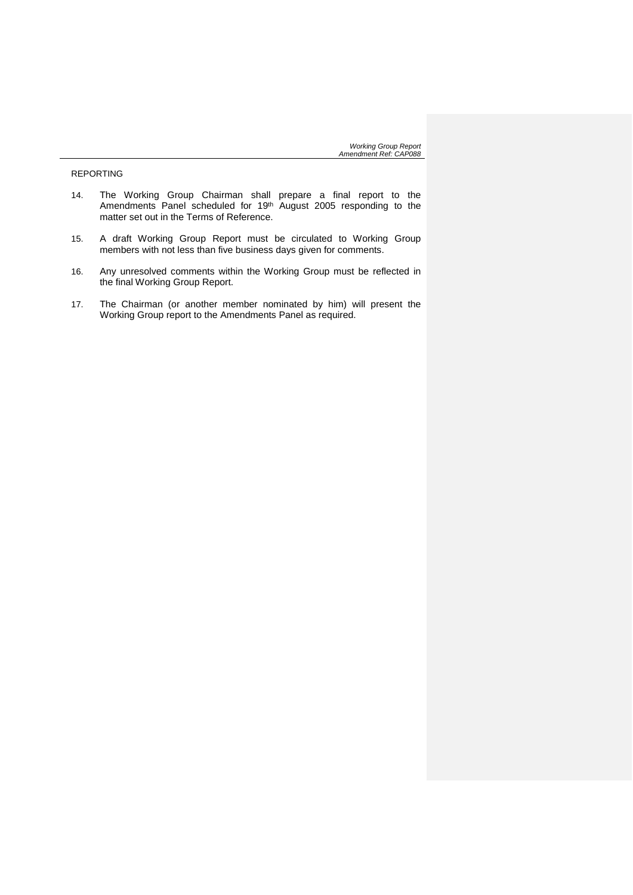REPORTING

- 14. The Working Group Chairman shall prepare a final report to the Amendments Panel scheduled for 19<sup>th</sup> August 2005 responding to the matter set out in the Terms of Reference.
- 15. A draft Working Group Report must be circulated to Working Group members with not less than five business days given for comments.
- 16. Any unresolved comments within the Working Group must be reflected in the final Working Group Report.
- 17. The Chairman (or another member nominated by him) will present the Working Group report to the Amendments Panel as required.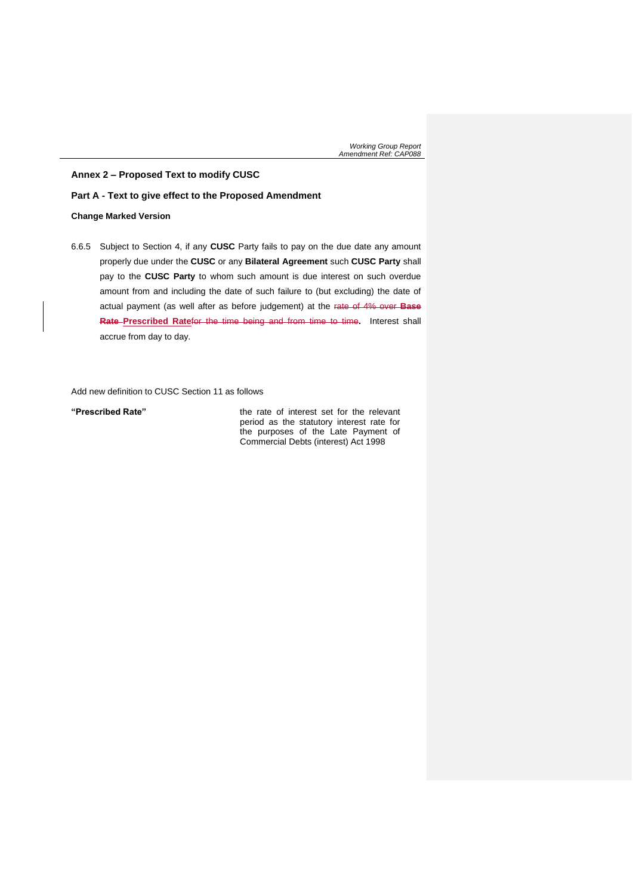**Annex 2 – Proposed Text to modify CUSC**

### **Part A - Text to give effect to the Proposed Amendment**

# **Change Marked Version**

6.6.5 Subject to Section 4, if any **CUSC** Party fails to pay on the due date any amount properly due under the **CUSC** or any **Bilateral Agreement** such **CUSC Party** shall pay to the **CUSC Party** to whom such amount is due interest on such overdue amount from and including the date of such failure to (but excluding) the date of actual payment (as well after as before judgement) at the rate of 4% over **Base Rate Prescribed Rate**for the time being and from time to time**.** Interest shall accrue from day to day.

Add new definition to CUSC Section 11 as follows

**"Prescribed Rate"** the rate of interest set for the relevant period as the statutory interest rate for the purposes of the Late Payment of Commercial Debts (interest) Act 1998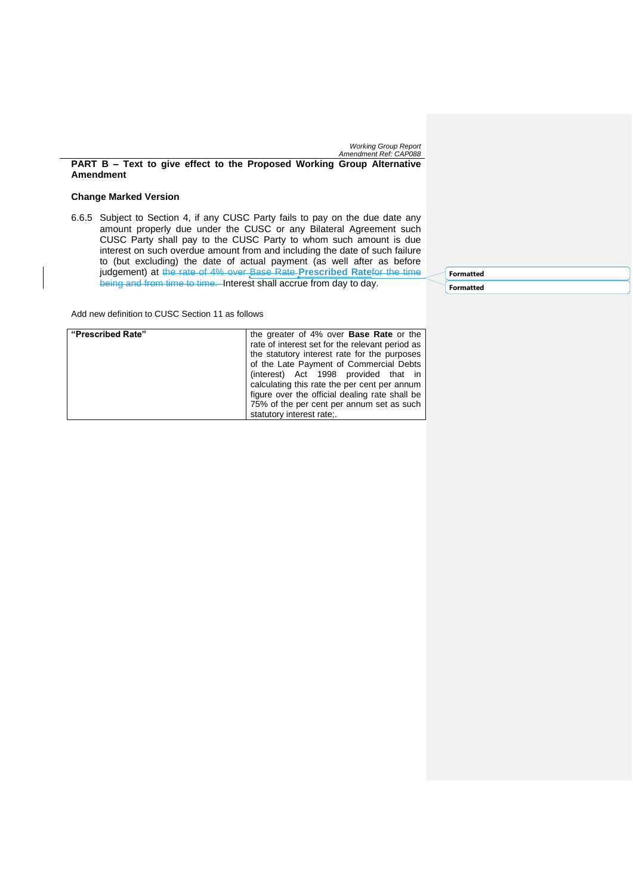**PART B – Text to give effect to the Proposed Working Group Alternative Amendment**

# **Change Marked Version**

6.6.5 Subject to Section 4, if any CUSC Party fails to pay on the due date any amount properly due under the CUSC or any Bilateral Agreement such CUSC Party shall pay to the CUSC Party to whom such amount is due interest on such overdue amount from and including the date of such failure to (but excluding) the date of actual payment (as well after as before judgement) at the rate of 4% over Base Rate **Prescribed Rate**for the time being and from time to time. Interest shall accrue from day to day.

Add new definition to CUSC Section 11 as follows

| "Prescribed Rate" | the greater of 4% over <b>Base Rate</b> or the  |  |
|-------------------|-------------------------------------------------|--|
|                   | rate of interest set for the relevant period as |  |
|                   | the statutory interest rate for the purposes    |  |
|                   | of the Late Payment of Commercial Debts         |  |
|                   | (interest) Act 1998 provided that in            |  |
|                   | calculating this rate the per cent per annum    |  |
|                   | figure over the official dealing rate shall be  |  |
|                   | 75% of the per cent per annum set as such       |  |
|                   | statutory interest rate:.                       |  |

**Formatted Formatted**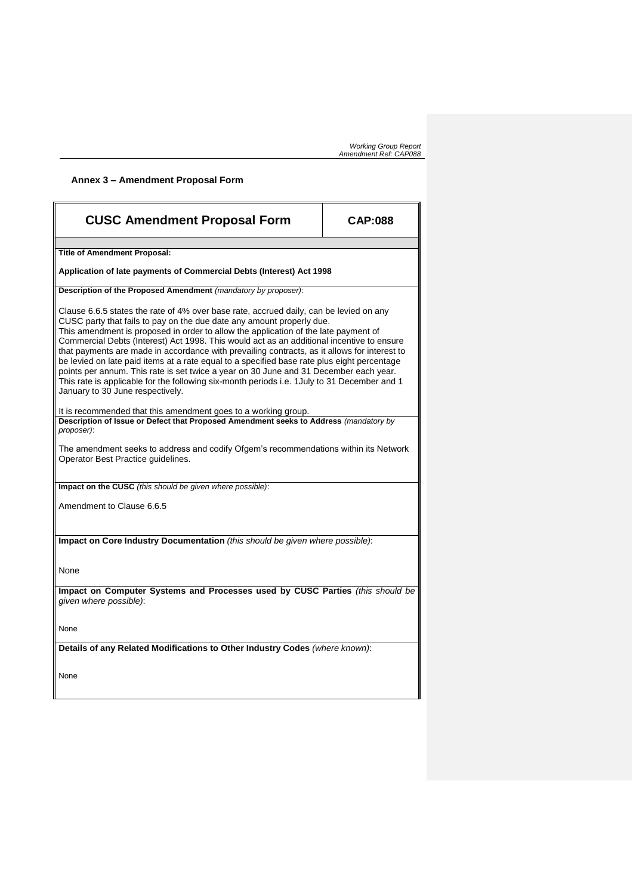# **Annex 3 – Amendment Proposal Form**

| <b>CUSC Amendment Proposal Form</b>                                                                                                                                                                                                                                                                                                                                                                                                                                                                                                                                                                                                                                                                                                                                             | <b>CAP:088</b> |
|---------------------------------------------------------------------------------------------------------------------------------------------------------------------------------------------------------------------------------------------------------------------------------------------------------------------------------------------------------------------------------------------------------------------------------------------------------------------------------------------------------------------------------------------------------------------------------------------------------------------------------------------------------------------------------------------------------------------------------------------------------------------------------|----------------|
| <b>Title of Amendment Proposal:</b>                                                                                                                                                                                                                                                                                                                                                                                                                                                                                                                                                                                                                                                                                                                                             |                |
| Application of late payments of Commercial Debts (Interest) Act 1998                                                                                                                                                                                                                                                                                                                                                                                                                                                                                                                                                                                                                                                                                                            |                |
| Description of the Proposed Amendment (mandatory by proposer):                                                                                                                                                                                                                                                                                                                                                                                                                                                                                                                                                                                                                                                                                                                  |                |
| Clause 6.6.5 states the rate of 4% over base rate, accrued daily, can be levied on any<br>CUSC party that fails to pay on the due date any amount properly due.<br>This amendment is proposed in order to allow the application of the late payment of<br>Commercial Debts (Interest) Act 1998. This would act as an additional incentive to ensure<br>that payments are made in accordance with prevailing contracts, as it allows for interest to<br>be levied on late paid items at a rate equal to a specified base rate plus eight percentage<br>points per annum. This rate is set twice a year on 30 June and 31 December each year.<br>This rate is applicable for the following six-month periods i.e. 1 July to 31 December and 1<br>January to 30 June respectively. |                |
| It is recommended that this amendment goes to a working group.                                                                                                                                                                                                                                                                                                                                                                                                                                                                                                                                                                                                                                                                                                                  |                |
| Description of Issue or Defect that Proposed Amendment seeks to Address (mandatory by<br>proposer):<br>The amendment seeks to address and codify Ofgem's recommendations within its Network                                                                                                                                                                                                                                                                                                                                                                                                                                                                                                                                                                                     |                |
| Operator Best Practice guidelines.                                                                                                                                                                                                                                                                                                                                                                                                                                                                                                                                                                                                                                                                                                                                              |                |
| Impact on the CUSC (this should be given where possible):                                                                                                                                                                                                                                                                                                                                                                                                                                                                                                                                                                                                                                                                                                                       |                |
| Amendment to Clause 6.6.5                                                                                                                                                                                                                                                                                                                                                                                                                                                                                                                                                                                                                                                                                                                                                       |                |
| Impact on Core Industry Documentation (this should be given where possible):                                                                                                                                                                                                                                                                                                                                                                                                                                                                                                                                                                                                                                                                                                    |                |
| None                                                                                                                                                                                                                                                                                                                                                                                                                                                                                                                                                                                                                                                                                                                                                                            |                |
| Impact on Computer Systems and Processes used by CUSC Parties (this should be<br>given where possible):                                                                                                                                                                                                                                                                                                                                                                                                                                                                                                                                                                                                                                                                         |                |
| None                                                                                                                                                                                                                                                                                                                                                                                                                                                                                                                                                                                                                                                                                                                                                                            |                |
| Details of any Related Modifications to Other Industry Codes (where known):                                                                                                                                                                                                                                                                                                                                                                                                                                                                                                                                                                                                                                                                                                     |                |
| None                                                                                                                                                                                                                                                                                                                                                                                                                                                                                                                                                                                                                                                                                                                                                                            |                |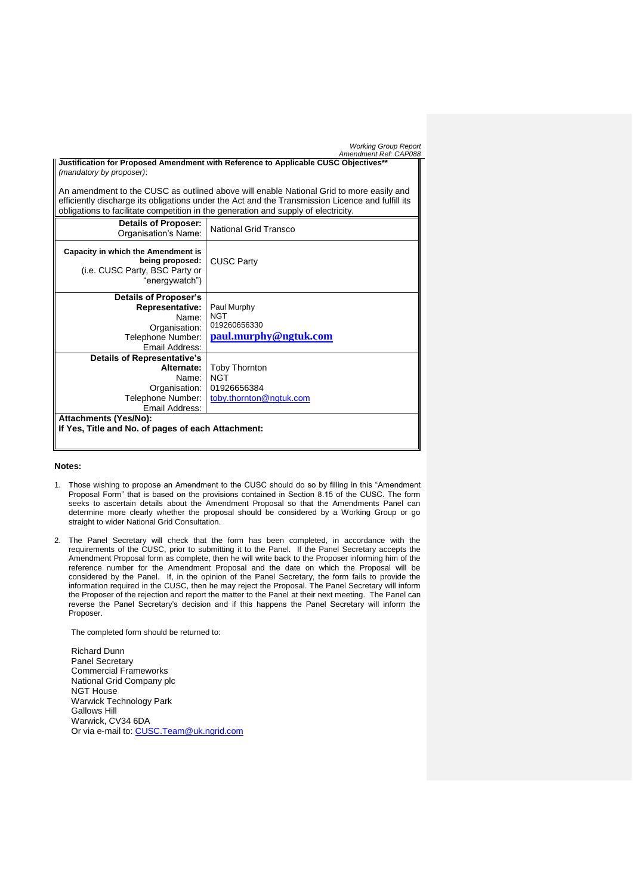| <b>Working Group Report</b> |  |  |
|-----------------------------|--|--|
|-----------------------------|--|--|

|                                                                                     | Amendment Ref: CAP088                                                                            |
|-------------------------------------------------------------------------------------|--------------------------------------------------------------------------------------------------|
| Justification for Proposed Amendment with Reference to Applicable CUSC Objectives** |                                                                                                  |
| (mandatory by proposer):                                                            |                                                                                                  |
|                                                                                     |                                                                                                  |
|                                                                                     | An amendment to the CUSC as outlined above will enable National Grid to more easily and          |
|                                                                                     | efficiently discharge its obligations under the Act and the Transmission Licence and fulfill its |
|                                                                                     | obligations to facilitate competition in the generation and supply of electricity.               |
| <b>Details of Proposer:</b>                                                         | National Grid Transco                                                                            |
| Organisation's Name:                                                                |                                                                                                  |
|                                                                                     |                                                                                                  |
| Capacity in which the Amendment is<br>being proposed:                               | <b>CUSC Party</b>                                                                                |
| (i.e. CUSC Party, BSC Party or                                                      |                                                                                                  |
| "energywatch")                                                                      |                                                                                                  |
|                                                                                     |                                                                                                  |
| Details of Proposer's                                                               |                                                                                                  |
| Representative:                                                                     | Paul Murphy                                                                                      |
| Name:                                                                               | <b>NGT</b><br>019260656330                                                                       |
| Organisation:                                                                       |                                                                                                  |
| Telephone Number:                                                                   | paul.murphy@ngtuk.com                                                                            |
| Email Address:                                                                      |                                                                                                  |
| <b>Details of Representative's</b>                                                  |                                                                                                  |
| Alternate:                                                                          | <b>Toby Thornton</b>                                                                             |
| Name:                                                                               | <b>NGT</b>                                                                                       |
| Organisation:                                                                       | 01926656384                                                                                      |
| Telephone Number:                                                                   | toby.thornton@ngtuk.com                                                                          |
| Email Address:                                                                      |                                                                                                  |
| <b>Attachments (Yes/No):</b>                                                        |                                                                                                  |
| If Yes, Title and No. of pages of each Attachment:                                  |                                                                                                  |
|                                                                                     |                                                                                                  |

# **Notes:**

- 1. Those wishing to propose an Amendment to the CUSC should do so by filling in this "Amendment Proposal Form" that is based on the provisions contained in Section 8.15 of the CUSC. The form seeks to ascertain details about the Amendment Proposal so that the Amendments Panel can determine more clearly whether the proposal should be considered by a Working Group or go straight to wider National Grid Consultation.
- 2. The Panel Secretary will check that the form has been completed, in accordance with the requirements of the CUSC, prior to submitting it to the Panel. If the Panel Secretary accepts the Amendment Proposal form as complete, then he will write back to the Proposer informing him of the reference number for the Amendment Proposal and the date on which the Proposal will be considered by the Panel. If, in the opinion of the Panel Secretary, the form fails to provide the information required in the CUSC, then he may reject the Proposal. The Panel Secretary will inform the Proposer of the rejection and report the matter to the Panel at their next meeting. The Panel can reverse the Panel Secretary's decision and if this happens the Panel Secretary will inform the Proposer.

The completed form should be returned to:

Richard Dunn Panel Secretary Commercial Frameworks National Grid Company plc NGT House Warwick Technology Park Gallows Hill Warwick, CV34 6DA Or via e-mail to: [CUSC.Team@uk.ngrid.com](mailto:CUSC.Team@uk.ngrid.com)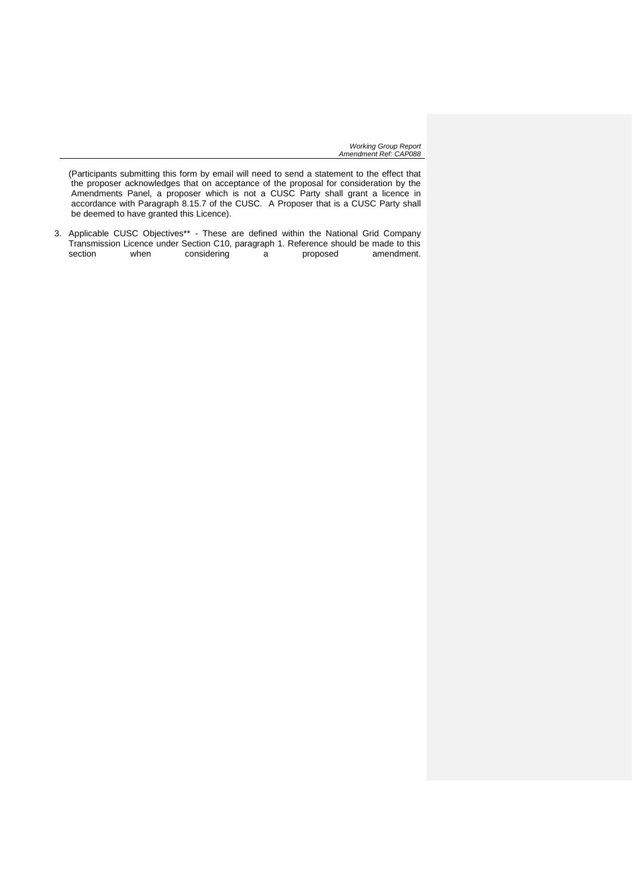(Participants submitting this form by email will need to send a statement to the effect that the proposer acknowledges that on acceptance of the proposal for consideration by the Amendments Panel, a proposer which is not a CUSC Party shall grant a licence in accordance with Paragraph 8.15.7 of the CUSC. A Proposer that is a CUSC Party shall be deemed to have granted this Licence).

3. Applicable CUSC Objectives\*\* - These are defined within the National Grid Company Transmission Licence under Section C10, paragraph 1. Reference should be made to this section when considering a proposed amendment. considering